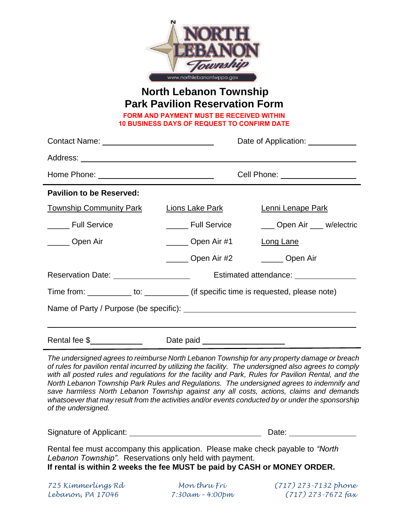

## **North Lebanon Township Park Pavilion Reservation Form**

**FORM AND PAYMENT MUST BE RECEIVED WITHIN 10 BUSINESS DAYS OF REQUEST TO CONFIRM DATE**

|                                                         |                                                                                         | Date of Application: <u>______________</u>                                                   |  |
|---------------------------------------------------------|-----------------------------------------------------------------------------------------|----------------------------------------------------------------------------------------------|--|
|                                                         |                                                                                         |                                                                                              |  |
|                                                         |                                                                                         | Cell Phone: ___________________                                                              |  |
| <b>Pavilion to be Reserved:</b>                         |                                                                                         |                                                                                              |  |
| <b>Township Community Park</b>                          | Lions Lake Park                                                                         | Lenni Lenape Park                                                                            |  |
| ______ Full Service                                     | <b>Full Service</b>                                                                     | ___ Open Air ___ w/electric                                                                  |  |
| Open Air                                                | ______ Open Air #1                                                                      | Long Lane                                                                                    |  |
|                                                         | Open Air #2                                                                             | ______ Open Air                                                                              |  |
| Reservation Date: 2000 March 2010 March 2010 March 2010 |                                                                                         | Estimated attendance: <u>Estimated</u> attendance:                                           |  |
|                                                         | Time from: _____________ to: _____________ (if specific time is requested, please note) |                                                                                              |  |
|                                                         |                                                                                         |                                                                                              |  |
|                                                         |                                                                                         |                                                                                              |  |
|                                                         | Date paid ______________________                                                        |                                                                                              |  |
|                                                         |                                                                                         | The undersigned agrees to reimburse North Lebanon Township for any property damage or breach |  |

*The undersigned agrees to reimburse North Lebanon Township for any property damage or breach of rules for pavilion rental incurred by utilizing the facility. The undersigned also agrees to comply with all posted rules and regulations for the facility and Park, Rules for Pavilion Rental, and the North Lebanon Township Park Rules and Regulations. The undersigned agrees to indemnify and save harmless North Lebanon Township against any all costs, actions, claims and demands whatsoever that may result from the activities and/or events conducted by or under the sponsorship of the undersigned.* 

Signature of Applicant: Date: Date: Date:

Rental fee must accompany this application. Please make check payable to *"North Lebanon Township".* Reservations only held with payment.

**If rental is within 2 weeks the fee MUST be paid by CASH or MONEY ORDER.**

*725 Kimmerlings Rd Mon thru Fri (717) 273-7132 phone Lebanon, PA 17046 7:30am – 4:00pm (717) 273-7672 fax*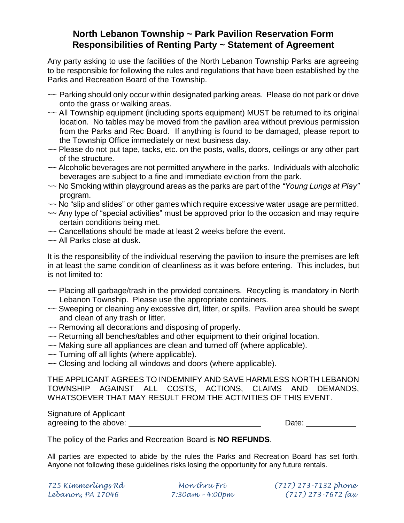#### **North Lebanon Township ~ Park Pavilion Reservation Form Responsibilities of Renting Party ~ Statement of Agreement**

Any party asking to use the facilities of the North Lebanon Township Parks are agreeing to be responsible for following the rules and regulations that have been established by the Parks and Recreation Board of the Township.

- ~~ Parking should only occur within designated parking areas. Please do not park or drive onto the grass or walking areas.
- $\sim$  All Township equipment (including sports equipment) MUST be returned to its original location. No tables may be moved from the pavilion area without previous permission from the Parks and Rec Board. If anything is found to be damaged, please report to the Township Office immediately or next business day.
- ~~ Please do not put tape, tacks, etc. on the posts, walls, doors, ceilings or any other part of the structure.
- ~~ Alcoholic beverages are not permitted anywhere in the parks. Individuals with alcoholic beverages are subject to a fine and immediate eviction from the park.
- ~~ No Smoking within playground areas as the parks are part of the *"Young Lungs at Play"* program.
- ~~ No "slip and slides" or other games which require excessive water usage are permitted.
- ~~ Any type of "special activities" must be approved prior to the occasion and may require certain conditions being met.
- ~~ Cancellations should be made at least 2 weeks before the event.
- ~~ All Parks close at dusk.

It is the responsibility of the individual reserving the pavilion to insure the premises are left in at least the same condition of cleanliness as it was before entering. This includes, but is not limited to:

- ~~ Placing all garbage/trash in the provided containers. Recycling is mandatory in North Lebanon Township. Please use the appropriate containers.
- ~~ Sweeping or cleaning any excessive dirt, litter, or spills. Pavilion area should be swept and clean of any trash or litter.
- ~~ Removing all decorations and disposing of properly.
- ~~ Returning all benches/tables and other equipment to their original location.
- ~~ Making sure all appliances are clean and turned off (where applicable).
- ~~ Turning off all lights (where applicable).
- ~~ Closing and locking all windows and doors (where applicable).

THE APPLICANT AGREES TO INDEMNIFY AND SAVE HARMLESS NORTH LEBANON TOWNSHIP AGAINST ALL COSTS, ACTIONS, CLAIMS AND DEMANDS, WHATSOEVER THAT MAY RESULT FROM THE ACTIVITIES OF THIS EVENT.

Signature of Applicant agreeing to the above:  $\Box$  Date:  $\Box$  Date:  $\Box$ 

The policy of the Parks and Recreation Board is **NO REFUNDS**.

All parties are expected to abide by the rules the Parks and Recreation Board has set forth. Anyone not following these guidelines risks losing the opportunity for any future rentals.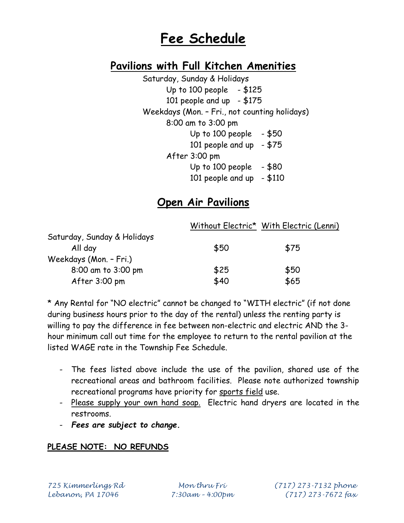# **Fee Schedule**

## **Pavilions with Full Kitchen Amenities**

Saturday, Sunday & Holidays Up to  $100$  people  $- $125$ 101 people and up  $- $175$ Weekdays (Mon. – Fri., not counting holidays) 8:00 am to 3:00 pm Up to 100 people  $-$  \$50 101 people and up  $- $75$ After 3:00 pm Up to  $100$  people  $- $80$ 101 people and up  $- $110$ 

### **Open Air Pavilions**

|                             |      | Without Electric* With Electric (Lenni) |
|-----------------------------|------|-----------------------------------------|
| Saturday, Sunday & Holidays |      |                                         |
| All day                     | \$50 | \$75                                    |
| Weekdays (Mon. - Fri.)      |      |                                         |
| 8:00 am to 3:00 pm          | \$25 | \$50                                    |
| After 3:00 pm               | \$40 | \$65                                    |

\* Any Rental for "NO electric" cannot be changed to "WITH electric" (if not done during business hours prior to the day of the rental) unless the renting party is willing to pay the difference in fee between non-electric and electric AND the 3 hour minimum call out time for the employee to return to the rental pavilion at the listed WAGE rate in the Township Fee Schedule.

- The fees listed above include the use of the pavilion, shared use of the recreational areas and bathroom facilities. Please note authorized township recreational programs have priority for sports field use.
- Please supply your own hand soap. Electric hand dryers are located in the restrooms.
- *Fees are subject to change.*

#### **PLEASE NOTE: NO REFUNDS**